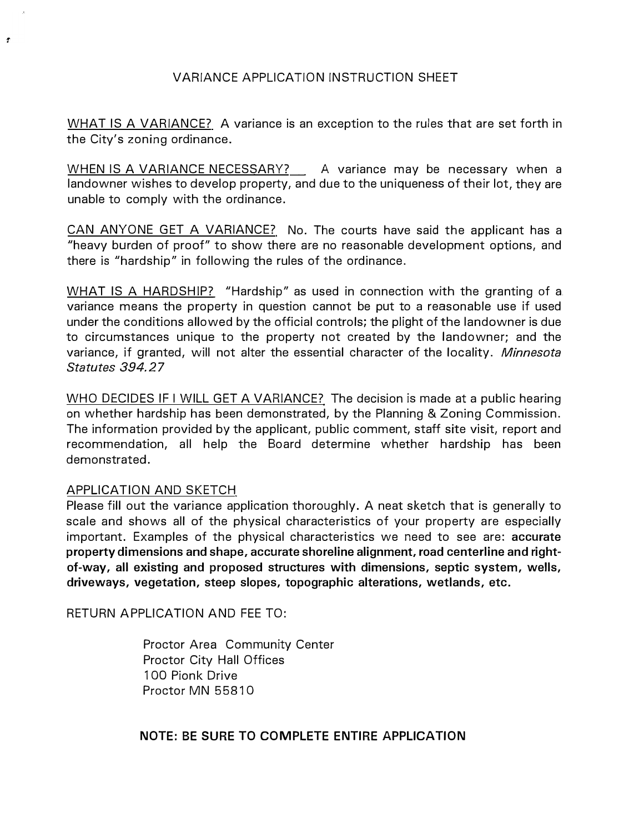#### VARIANCE APPLICATION INSTRUCTION SHEET

WHAT IS A VARIANCE? A variance is an exception to the rules that are set forth in the City's zoning ordinance.

WHEN IS A VARIANCE NECESSARY? \_\_ A variance may be necessary when a landowner wishes to develop property, and due to the uniqueness of their lot, they are unable to comply with the ordinance.

CAN ANYONE GET A VARIANCE? No. The courts have said the applicant has a "heavy burden of proof" to show there are no reasonable development options, and there is "hardship" in following the rules of the ordinance.

WHAT IS A HARDSHIP? "Hardship" as used in connection with the granting of a variance means the property in question cannot be put to a reasonable use if used under the conditions allowed by the official controls; the plight of the landowner is due to circumstances unique to the property not created by the landowner; and the variance, if granted, will not alter the essential character of the locality. *Minnesota Statutes 394.27* 

WHO DECIDES IF I WILL GET A VARIANCE? The decision is made at a public hearing on whether hardship has been demonstrated, by the Planning & Zoning Commission. The information provided by the applicant, public comment, staff site visit, report and recommendation, all help the Board determine whether hardship has been demonstrated.

#### APPLICATION AND SKETCH

 $\hat{\mathbf{r}}$ 

Please fill out the variance application thoroughly. A neat sketch that is generally to scale and shows all of the physical characteristics of your property are especially important. Examples of the physical characteristics we need to see are: **accurate property dimensions and shape, accurate shoreline alignment, road centerline and rightof-way, all existing and proposed structures with dimensions, septic system, wells, driveways, vegetation, steep slopes, topographic alterations, wetlands, etc.** 

RETURN APPLICATION AND FEE TO:

Proctor Area Community Center Proctor City Hall Offices 100 Pionk Drive Proctor MN 55810

**NOTE: BE SURE TO COMPLETE ENTIRE APPLICATION**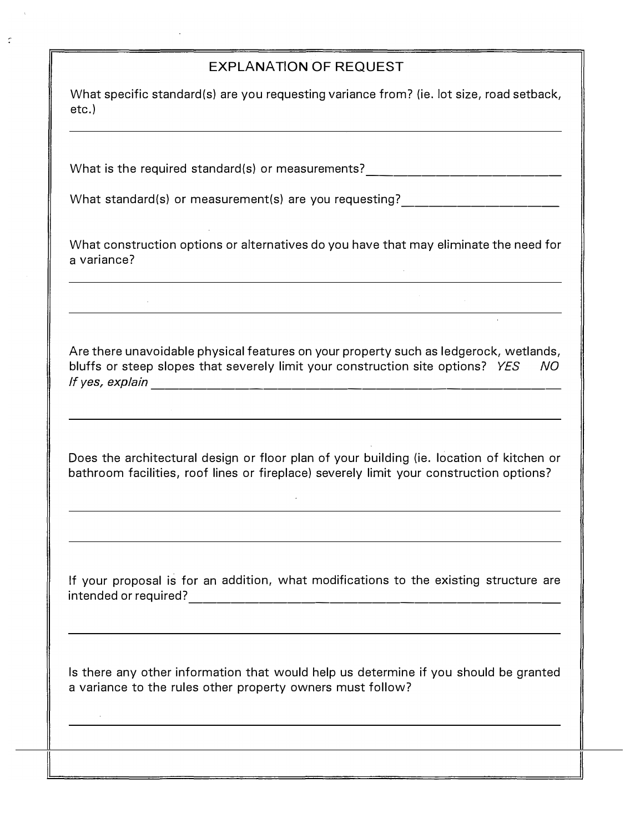### EXPLANATION OF REQUEST

What specific standard(s) are you requesting variance from? (ie. lot size, road setback, etc.)

What is the required standard{s) or measurements? --------------

What standard{s) or measurement(s) are you requesting? -----------

What construction options or alternatives do you have that may eliminate the need for a variance?

Are there unavoidable physical features on your property such as ledgerock, wetlands, bluffs or steep slopes that severely limit your construction site options? *YES NO If yes, explain* **1.1** yes, explain

 $\sim$ 

Does the architectural design or floor plan of your building {ie. location of kitchen or bathroom facilities, roof lines or fireplace) severely limit your construction options?

If your proposal is for an addition, what modifications to the existing structure are intended or required? --------------------------

Is there any other information that would help us determine if you should be granted a variance to the rules other property owners must follow?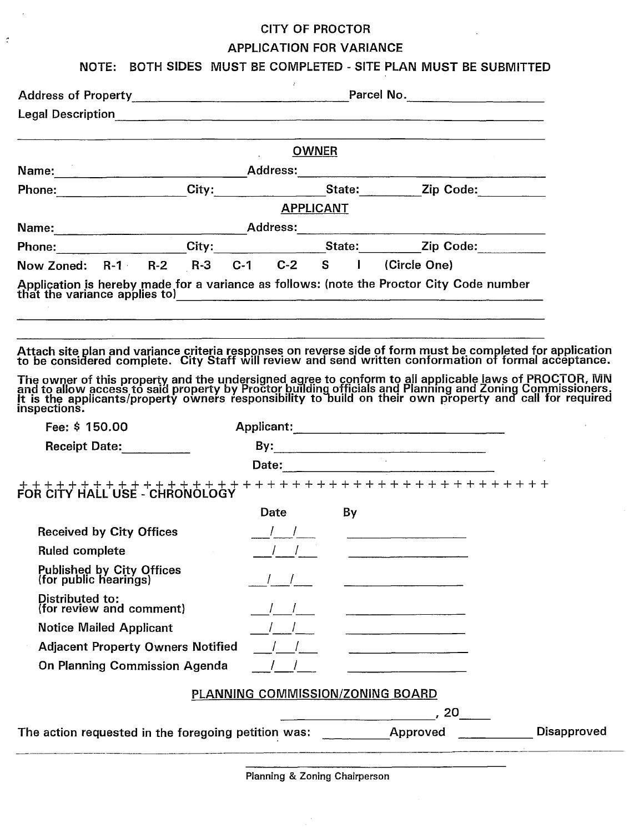# **CITY OF PROCTOR APPLICATION FOR VARIANCE**

 $\bar{z}$ 

 $\mathcal{I}$ 

## NOTE: BOTH SIDES MUST BE COMPLETED - SITE PLAN MUST BE SUBMITTED

| Address of Property Manual Address of Property<br><b>OWNER</b><br><b>APPLICANT</b> |                                                                                 | Parcel No. ______________________<br><u> 1980 - Jan Barnett, fransk politiker (d. 1980)</u><br>Phone: City: City: State: Zip Code:                                                                                                                                                                                                      |                                                                                                                                                                                                                                                                                                                                                                                                                                                                                                                                                                                                                                                                                                                                                                                                                                                                                                                                                                                                                                                                                                                                                                                                                                                                                                                                                                                                |
|------------------------------------------------------------------------------------|---------------------------------------------------------------------------------|-----------------------------------------------------------------------------------------------------------------------------------------------------------------------------------------------------------------------------------------------------------------------------------------------------------------------------------------|------------------------------------------------------------------------------------------------------------------------------------------------------------------------------------------------------------------------------------------------------------------------------------------------------------------------------------------------------------------------------------------------------------------------------------------------------------------------------------------------------------------------------------------------------------------------------------------------------------------------------------------------------------------------------------------------------------------------------------------------------------------------------------------------------------------------------------------------------------------------------------------------------------------------------------------------------------------------------------------------------------------------------------------------------------------------------------------------------------------------------------------------------------------------------------------------------------------------------------------------------------------------------------------------------------------------------------------------------------------------------------------------|
|                                                                                    |                                                                                 |                                                                                                                                                                                                                                                                                                                                         |                                                                                                                                                                                                                                                                                                                                                                                                                                                                                                                                                                                                                                                                                                                                                                                                                                                                                                                                                                                                                                                                                                                                                                                                                                                                                                                                                                                                |
|                                                                                    |                                                                                 |                                                                                                                                                                                                                                                                                                                                         |                                                                                                                                                                                                                                                                                                                                                                                                                                                                                                                                                                                                                                                                                                                                                                                                                                                                                                                                                                                                                                                                                                                                                                                                                                                                                                                                                                                                |
|                                                                                    |                                                                                 |                                                                                                                                                                                                                                                                                                                                         |                                                                                                                                                                                                                                                                                                                                                                                                                                                                                                                                                                                                                                                                                                                                                                                                                                                                                                                                                                                                                                                                                                                                                                                                                                                                                                                                                                                                |
|                                                                                    |                                                                                 |                                                                                                                                                                                                                                                                                                                                         |                                                                                                                                                                                                                                                                                                                                                                                                                                                                                                                                                                                                                                                                                                                                                                                                                                                                                                                                                                                                                                                                                                                                                                                                                                                                                                                                                                                                |
|                                                                                    |                                                                                 |                                                                                                                                                                                                                                                                                                                                         |                                                                                                                                                                                                                                                                                                                                                                                                                                                                                                                                                                                                                                                                                                                                                                                                                                                                                                                                                                                                                                                                                                                                                                                                                                                                                                                                                                                                |
|                                                                                    |                                                                                 |                                                                                                                                                                                                                                                                                                                                         |                                                                                                                                                                                                                                                                                                                                                                                                                                                                                                                                                                                                                                                                                                                                                                                                                                                                                                                                                                                                                                                                                                                                                                                                                                                                                                                                                                                                |
|                                                                                    |                                                                                 |                                                                                                                                                                                                                                                                                                                                         |                                                                                                                                                                                                                                                                                                                                                                                                                                                                                                                                                                                                                                                                                                                                                                                                                                                                                                                                                                                                                                                                                                                                                                                                                                                                                                                                                                                                |
|                                                                                    |                                                                                 |                                                                                                                                                                                                                                                                                                                                         |                                                                                                                                                                                                                                                                                                                                                                                                                                                                                                                                                                                                                                                                                                                                                                                                                                                                                                                                                                                                                                                                                                                                                                                                                                                                                                                                                                                                |
|                                                                                    |                                                                                 |                                                                                                                                                                                                                                                                                                                                         |                                                                                                                                                                                                                                                                                                                                                                                                                                                                                                                                                                                                                                                                                                                                                                                                                                                                                                                                                                                                                                                                                                                                                                                                                                                                                                                                                                                                |
|                                                                                    |                                                                                 |                                                                                                                                                                                                                                                                                                                                         |                                                                                                                                                                                                                                                                                                                                                                                                                                                                                                                                                                                                                                                                                                                                                                                                                                                                                                                                                                                                                                                                                                                                                                                                                                                                                                                                                                                                |
|                                                                                    |                                                                                 |                                                                                                                                                                                                                                                                                                                                         |                                                                                                                                                                                                                                                                                                                                                                                                                                                                                                                                                                                                                                                                                                                                                                                                                                                                                                                                                                                                                                                                                                                                                                                                                                                                                                                                                                                                |
|                                                                                    |                                                                                 |                                                                                                                                                                                                                                                                                                                                         |                                                                                                                                                                                                                                                                                                                                                                                                                                                                                                                                                                                                                                                                                                                                                                                                                                                                                                                                                                                                                                                                                                                                                                                                                                                                                                                                                                                                |
|                                                                                    |                                                                                 |                                                                                                                                                                                                                                                                                                                                         |                                                                                                                                                                                                                                                                                                                                                                                                                                                                                                                                                                                                                                                                                                                                                                                                                                                                                                                                                                                                                                                                                                                                                                                                                                                                                                                                                                                                |
|                                                                                    |                                                                                 |                                                                                                                                                                                                                                                                                                                                         |                                                                                                                                                                                                                                                                                                                                                                                                                                                                                                                                                                                                                                                                                                                                                                                                                                                                                                                                                                                                                                                                                                                                                                                                                                                                                                                                                                                                |
|                                                                                    |                                                                                 |                                                                                                                                                                                                                                                                                                                                         |                                                                                                                                                                                                                                                                                                                                                                                                                                                                                                                                                                                                                                                                                                                                                                                                                                                                                                                                                                                                                                                                                                                                                                                                                                                                                                                                                                                                |
|                                                                                    | By                                                                              |                                                                                                                                                                                                                                                                                                                                         |                                                                                                                                                                                                                                                                                                                                                                                                                                                                                                                                                                                                                                                                                                                                                                                                                                                                                                                                                                                                                                                                                                                                                                                                                                                                                                                                                                                                |
|                                                                                    |                                                                                 |                                                                                                                                                                                                                                                                                                                                         |                                                                                                                                                                                                                                                                                                                                                                                                                                                                                                                                                                                                                                                                                                                                                                                                                                                                                                                                                                                                                                                                                                                                                                                                                                                                                                                                                                                                |
|                                                                                    |                                                                                 |                                                                                                                                                                                                                                                                                                                                         |                                                                                                                                                                                                                                                                                                                                                                                                                                                                                                                                                                                                                                                                                                                                                                                                                                                                                                                                                                                                                                                                                                                                                                                                                                                                                                                                                                                                |
|                                                                                    |                                                                                 |                                                                                                                                                                                                                                                                                                                                         |                                                                                                                                                                                                                                                                                                                                                                                                                                                                                                                                                                                                                                                                                                                                                                                                                                                                                                                                                                                                                                                                                                                                                                                                                                                                                                                                                                                                |
|                                                                                    |                                                                                 |                                                                                                                                                                                                                                                                                                                                         |                                                                                                                                                                                                                                                                                                                                                                                                                                                                                                                                                                                                                                                                                                                                                                                                                                                                                                                                                                                                                                                                                                                                                                                                                                                                                                                                                                                                |
|                                                                                    |                                                                                 |                                                                                                                                                                                                                                                                                                                                         |                                                                                                                                                                                                                                                                                                                                                                                                                                                                                                                                                                                                                                                                                                                                                                                                                                                                                                                                                                                                                                                                                                                                                                                                                                                                                                                                                                                                |
|                                                                                    |                                                                                 |                                                                                                                                                                                                                                                                                                                                         |                                                                                                                                                                                                                                                                                                                                                                                                                                                                                                                                                                                                                                                                                                                                                                                                                                                                                                                                                                                                                                                                                                                                                                                                                                                                                                                                                                                                |
|                                                                                    |                                                                                 |                                                                                                                                                                                                                                                                                                                                         |                                                                                                                                                                                                                                                                                                                                                                                                                                                                                                                                                                                                                                                                                                                                                                                                                                                                                                                                                                                                                                                                                                                                                                                                                                                                                                                                                                                                |
|                                                                                    |                                                                                 |                                                                                                                                                                                                                                                                                                                                         |                                                                                                                                                                                                                                                                                                                                                                                                                                                                                                                                                                                                                                                                                                                                                                                                                                                                                                                                                                                                                                                                                                                                                                                                                                                                                                                                                                                                |
|                                                                                    |                                                                                 | , 20                                                                                                                                                                                                                                                                                                                                    |                                                                                                                                                                                                                                                                                                                                                                                                                                                                                                                                                                                                                                                                                                                                                                                                                                                                                                                                                                                                                                                                                                                                                                                                                                                                                                                                                                                                |
|                                                                                    |                                                                                 |                                                                                                                                                                                                                                                                                                                                         | <b>Disapproved</b>                                                                                                                                                                                                                                                                                                                                                                                                                                                                                                                                                                                                                                                                                                                                                                                                                                                                                                                                                                                                                                                                                                                                                                                                                                                                                                                                                                             |
|                                                                                    | $\mathcal{L} = \mathcal{L} \times \mathcal{L} = \mathcal{L} \times \mathcal{L}$ | <b>Date Date</b><br>$\frac{1}{2}$ $\frac{1}{2}$ $\frac{1}{2}$ $\frac{1}{2}$ $\frac{1}{2}$ $\frac{1}{2}$ $\frac{1}{2}$ $\frac{1}{2}$ $\frac{1}{2}$ $\frac{1}{2}$ $\frac{1}{2}$ $\frac{1}{2}$ $\frac{1}{2}$ $\frac{1}{2}$ $\frac{1}{2}$ $\frac{1}{2}$ $\frac{1}{2}$ $\frac{1}{2}$ $\frac{1}{2}$ $\frac{1}{2}$ $\frac{1}{2}$ $\frac{1}{2}$ | Phone: City: City: State: Zip Code:<br>Now Zoned: R-1 R-2 R-3 C-1 C-2 S I (Circle One)<br>Application is hereby made for a variance as follows: (note the Proctor City Code number<br>that the variance applies to)<br><u> </u><br><u> 1980 - Andrea Stadt Britain, amerikan basar basar basar basar basar basar basar basar basar basar basar basa</u><br>Attach site plan and variance criteria responses on reverse side of form must be completed for application<br>to be considered complete. City Staff will review and send written conformation of formal acceptance.<br>The owner of this property and the undersigned agree to conform to all applicable laws of PROCTOR, MN and to allow access to said property by Proctor building officials and Planning and Zoning Commissioners.<br>It is the appl<br>Applicant:<br>By: $\qquad \qquad \qquad$<br>$\frac{1}{2}$ to the total transition of the term of the term of $\frac{1}{2}$ to the curve HALL USE - CHRONOLOGY<br><u> 1989 - Jan James James Barnett, fransk komponist (</u><br><u> 1980 - Johann Barbara, martxa a shekara 1980 - An tsa a shekara 1980 - An tsa a shekara 1980 - An tsa a shekara 1980 - An tsa a shekara 1980 - An tsa a shekara 1980 - An tsa a shekara 1980 - An tsa a shekara 1980 - An ts</u><br>PLANNING COMMISSION/ZONING BOARD<br>The action requested in the foregoing petition was: Approved |

Planning & Zoning Chairperson